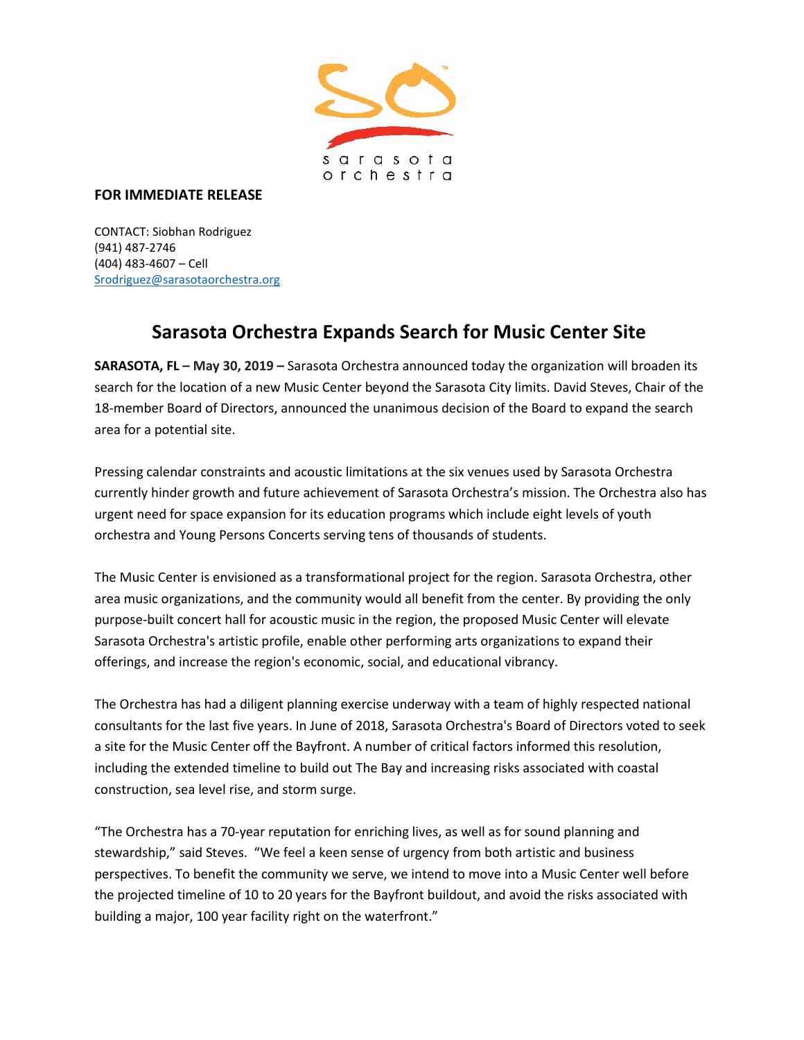

## **FOR IMMEDIATE RELEASE**

CONTACT: Siobhan Rodriguez (941) 487-2746 (404) 483-4607 – Cell [Srodriguez@sarasotaorchestra.org](mailto:Srodriguez@sarasotaorchestra.org)

## **Sarasota Orchestra Expands Search for Music Center Site**

**SARASOTA, FL – May 30, 2019 –** Sarasota Orchestra announced today the organization will broaden its search for the location of a new Music Center beyond the Sarasota City limits. David Steves, Chair of the 18-member Board of Directors, announced the unanimous decision of the Board to expand the search area for a potential site.

Pressing calendar constraints and acoustic limitations at the six venues used by Sarasota Orchestra currently hinder growth and future achievement of Sarasota Orchestra's mission. The Orchestra also has urgent need for space expansion for its education programs which include eight levels of youth orchestra and Young Persons Concerts serving tens of thousands of students.

The Music Center is envisioned as a transformational project for the region. Sarasota Orchestra, other area music organizations, and the community would all benefit from the center. By providing the only purpose-built concert hall for acoustic music in the region, the proposed Music Center will elevate Sarasota Orchestra's artistic profile, enable other performing arts organizations to expand their offerings, and increase the region's economic, social, and educational vibrancy.

The Orchestra has had a diligent planning exercise underway with a team of highly respected national consultants for the last five years. In June of 2018, Sarasota Orchestra's Board of Directors voted to seek a site for the Music Center off the Bayfront. A number of critical factors informed this resolution, including the extended timeline to build out The Bay and increasing risks associated with coastal construction, sea level rise, and storm surge.

"The Orchestra has a 70-year reputation for enriching lives, as well as for sound planning and stewardship," said Steves. "We feel a keen sense of urgency from both artistic and business perspectives. To benefit the community we serve, we intend to move into a Music Center well before the projected timeline of 10 to 20 years for the Bayfront buildout, and avoid the risks associated with building a major, 100 year facility right on the waterfront."